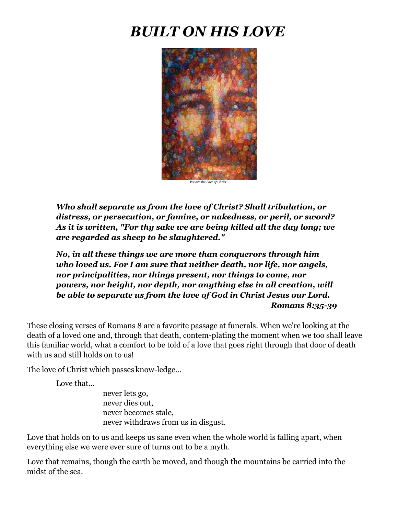# *BUILT ON HIS LOVE*



*Who shall separate us from the love of Christ? Shall tribulation, or distress, or persecution, or famine, or nakedness, or peril, or sword? As it is written, "For thy sake we are being killed all the day long; we are regarded as sheep to be slaughtered."*

*No, in all these things we are more than conquerors through him who loved us. For I am sure that neither death, nor life, nor angels, nor principalities, nor things present, nor things to come, nor powers, nor height, nor depth, nor anything else in all creation, will be able to separate us from the love of God in Christ Jesus our Lord. Romans 8:35-39*

These closing verses of Romans 8 are a favorite passage at funerals. When we're looking at the death of a loved one and, through that death, contem-plating the moment when we too shall leave this familiar world, what a comfort to be told of a love that goes right through that door of death with us and still holds on to us!

The love of Christ which passes know-ledge...

Love that…

never lets go, never dies out, never becomes stale, never withdraws from us in disgust.

Love that holds on to us and keeps us sane even when the whole world is falling apart, when everything else we were ever sure of turns out to be a myth.

Love that remains, though the earth be moved, and though the mountains be carried into the midst of the sea.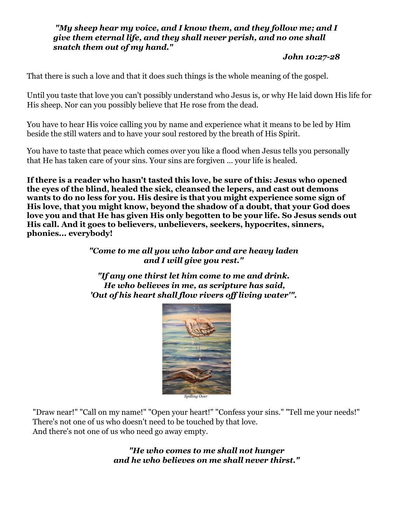#### *"My sheep hear my voice, and I know them, and they follow me; and I give them eternal life, and they shall never perish, and no one shall snatch them out of my hand."*

#### *John 10:27-28*

That there is such a love and that it does such things is the whole meaning of the gospel.

Until you taste that love you can't possibly understand who Jesus is, or why He laid down His life for His sheep. Nor can you possibly believe that He rose from the dead.

You have to hear His voice calling you by name and experience what it means to be led by Him beside the still waters and to have your soul restored by the breath of His Spirit.

You have to taste that peace which comes over you like a flood when Jesus tells you personally that He has taken care of your sins. Your sins are forgiven ... your life is healed.

**If there is a reader who hasn't tasted this love, be sure of this: Jesus who opened the eyes of the blind, healed the sick, cleansed the lepers, and cast out demons wants to do no less for you. His desire is that you might experience some sign of His love, that you might know, beyond the shadow of a doubt, that your God does love you and that He has given His only begotten to be your life. So Jesus sends out His call. And it goes to believers, unbelievers, seekers, hypocrites, sinners, phonies... everybody!**

> *"Come to me all you who labor and are heavy laden and I will give you rest."*

> *"If any one thirst let him come to me and drink. He who believes in me, as scripture has said, 'Out of his heart shall flow rivers off living water'".*



*Spilling Over*

"Draw near!" "Call on my name!" "Open your heart!" "Confess your sins." "Tell me your needs!" There's not one of us who doesn't need to be touched by that love. And there's not one of us who need go away empty.

> *"He who comes to me shall not hunger and he who believes on me shall never thirst."*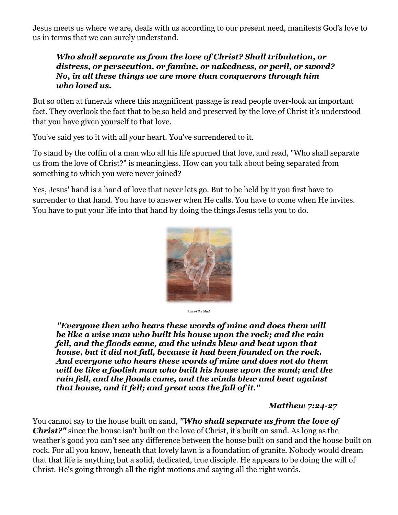Jesus meets us where we are, deals with us according to our present need, manifests God's love to us in terms that we can surely understand.

#### *Who shall separate us from the love of Christ? Shall tribulation, or distress, or persecution, or famine, or nakedness, or peril, or sword? No, in all these things we are more than conquerors through him who loved us.*

But so often at funerals where this magnificent passage is read people over-look an important fact. They overlook the fact that to be so held and preserved by the love of Christ it's understood that you have given yourself to that love.

You've said yes to it with all your heart. You've surrendered to it.

To stand by the coffin of a man who all his life spurned that love, and read, "Who shall separate us from the love of Christ?" is meaningless. How can you talk about being separated from something to which you were never joined?

Yes, Jesus' hand is a hand of love that never lets go. But to be held by it you first have to surrender to that hand. You have to answer when He calls. You have to come when He invites. You have to put your life into that hand by doing the things Jesus tells you to do.



*Out of the Mud*

*"Everyone then who hears these words of mine and does them will be like a wise man who built his house upon the rock; and the rain fell, and the floods came, and the winds blew and beat upon that house[,](http://but.it/) but it did not fall, because it had been founded on the rock. And everyone who hears these words of mine and does not do them will be like a foolish man who built his house upon the sand; and the rain fell, and the floods came, and the winds blew and beat against that house, and it fell; and great was the fall of it."* 

*Matthew 7:24-27*

You cannot say to the house built on sand, *"Who shall separate us from the love of Christ?"* since the house isn't built on the love of Christ, it's built on sand. As long as the weather's good you can't see any difference between the house built on sand and the house built on rock. For all you know, beneath that lovely lawn is a foundation of granite. Nobody would dream that that life is anything but a solid, dedicated, true disciple. He appears to be doing the will of Christ. He's going through all the right motions and saying all the right words.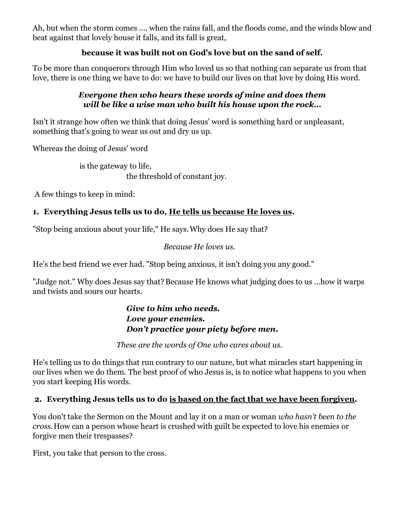Ah, but when the storm comes .... when the rains fall, and the floods come, and the winds blow and beat against that lovely house it falls, and its fall is great,

## **because it was built not on God's love but on the sand of self.**

To be more than conquerors through Him who loved us so that nothing can separate us from that love, there is one thing we have to do: we have to build our lives on that love by doing His word.

#### *Everyone then who hears these words of mine and does them will be like a wise man who built his house upon the rock…*

Isn't it strange how often we think that doing Jesus' word is something hard or unpleasant, something that's going to wear us out and dry us up.

Whereas the doing of Jesus' word

is the gateway to life, the threshold of constant joy.

A few things to keep in mind:

## **1. Everything Jesus tells us to do, He tells us because He loves us.**

"Stop being anxious about your life," He says.Why does He say that?

*Because He loves us.*

He's the best friend we ever had. "Stop being anxious, it isn't doing you any good."

"Judge not." Why does Jesus say that? Because He knows what judging does to us ...how it warps and twists and sours our hearts.

> *Give to him who needs. Love your enemies. Don't practice your piety before men***.**

*These are the words of One who cares about us.*

He's telling us to do things that run contrary to our nature, but what miracles start happening in our lives when we do them. The best proof of who Jesus is, is to notice what happens to you when you start keeping His words.

## **2. Everything Jesus tells us to do is based on the fact that we have been forgiven.**

You don't take the Sermon on the Mount and lay it on a man or woman *who hasn't been to the cross.*How can a person whose heart is crushed with guilt be expected to love his enemies or forgive men their trespasses?

First, you take that person to the cross.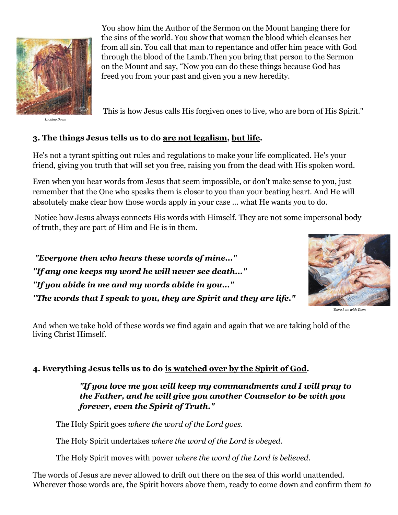

*Looking Down*

You show him the Author of the Sermon on the Mount hanging there for the sins of the world. You show that woman the blood which cleanses her from all sin. You call that man to repentance and offer him peace with God through the blood of the Lamb.Then you bring that person to the Sermon on the Mount and say, "Now you can do these things because God has freed you from your past and given you a new heredity.

This is how Jesus calls His forgiven ones to live, who are born of His Spirit."

# **3. The things Jesus tells us to do are not legalism, but life.**

He's not a tyrant spitting out rules and regulations to make your life complicated. He's your friend, giving you truth that will set you free, raising you from the dead with His spoken word.

Even when you hear words from Jesus that seem impossible, or don't make sense to you, just remember that the One who speaks them is closer to you than your beating heart. And He will absolutely make clear how those words apply in your case ... what He wants you to do.

Notice how Jesus always connects His words with Himself. They are not some impersonal body of truth, they are part of Him and He is in them.

*"Everyone then who hears these words of mine..." "If any one keeps my word he will never see death..." "If you abide in me and my words abide in you..." "The words that I speak to you, they are Spirit and they are life."*



*There I am with Them*

And when we take hold of these words we find again and again that we are taking hold of the living Christ Himself.

## **4. Everything Jesus tells us to do is watched over by the Spirit of God.**

*"If you love me you will keep my commandments and I will pray to the Father, and he will give you another Counselor to be with you forever, even the Spirit of Truth."*

The Holy Spirit goes *where the word of the Lord goes.*

The Holy Spirit undertakes *where the word of the Lord is obeyed.*

The Holy Spirit moves with power *where the word of the Lord is believed.*

The words of Jesus are never allowed to drift out there on the sea of this world unattended. Wherever those words are, the Spirit hovers above them, ready to come down and confirm them *to*